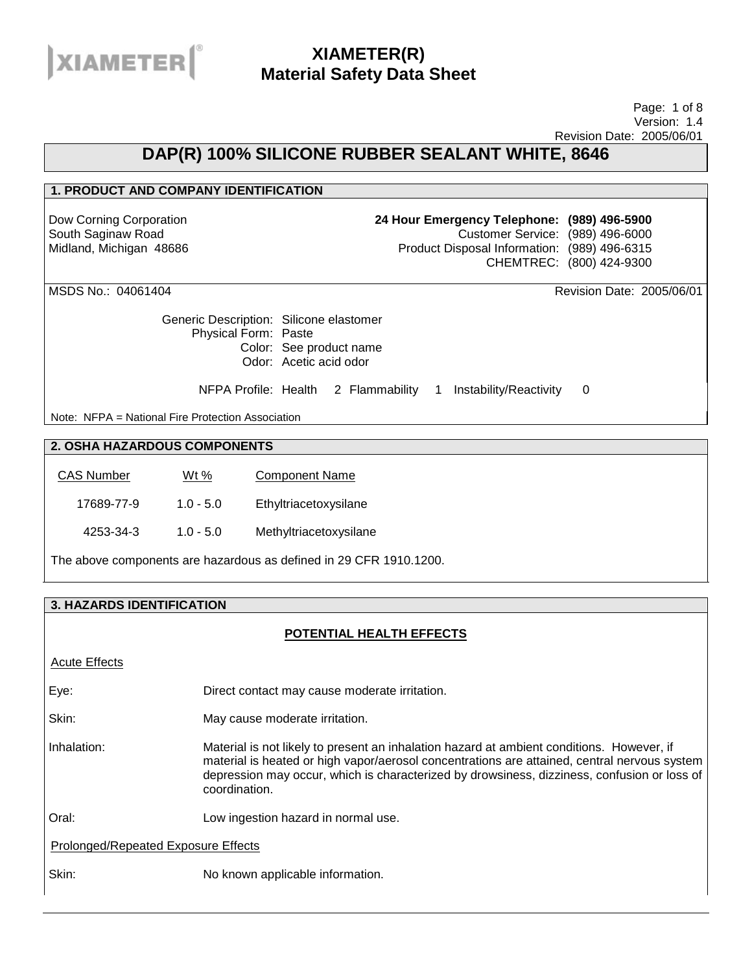

#### Page: 1 of 8 Version: 1.4 Revision Date: 2005/06/01

## **DAP(R) 100% SILICONE RUBBER SEALANT WHITE, 8646**

### **1. PRODUCT AND COMPANY IDENTIFICATION**

Dow Corning Corporation South Saginaw Road Midland, Michigan 48686 **24 Hour Emergency Telephone: (989) 496-5900** Customer Service: (989) 496-6000 Product Disposal Information: (989) 496-6315 CHEMTREC: (800) 424-9300

MSDS No.: 04061404 Revision Date: 2005/06/01

Generic Description: Silicone elastomer Physical Form: Paste Color: See product name Odor: Acetic acid odor

NFPA Profile: Health 2 Flammability 1 Instability/Reactivity 0

Note: NFPA = National Fire Protection Association

## **2. OSHA HAZARDOUS COMPONENTS**

| <b>CAS Number</b> | Wt %        | <b>Component Name</b>  |
|-------------------|-------------|------------------------|
| 17689-77-9        | $1.0 - 5.0$ | Ethyltriacetoxysilane  |
| 4253-34-3         | $1.0 - 5.0$ | Methyltriacetoxysilane |

The above components are hazardous as defined in 29 CFR 1910.1200.

## **3. HAZARDS IDENTIFICATION**

### **POTENTIAL HEALTH EFFECTS**

Acute Effects Eye: Direct contact may cause moderate irritation. Skin: May cause moderate irritation. Inhalation: Material is not likely to present an inhalation hazard at ambient conditions. However, if material is heated or high vapor/aerosol concentrations are attained, central nervous system depression may occur, which is characterized by drowsiness, dizziness, confusion or loss of coordination. Oral: Low ingestion hazard in normal use. Prolonged/Repeated Exposure Effects Skin: No known applicable information.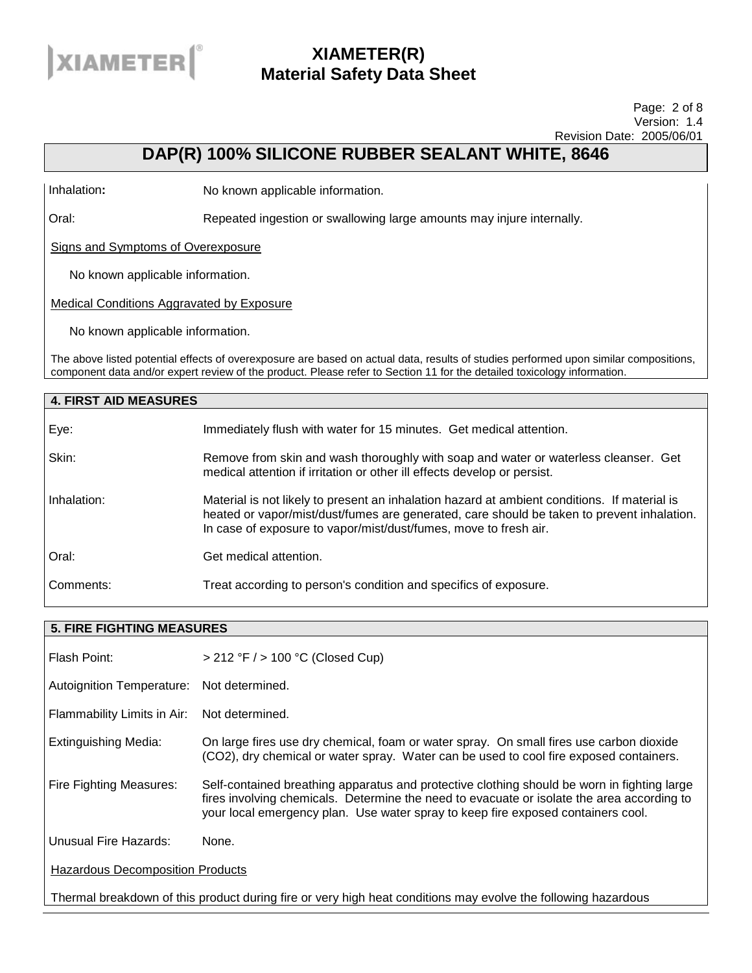

#### Page: 2 of 8 Version: 1.4 Revision Date: 2005/06/01

# **DAP(R) 100% SILICONE RUBBER SEALANT WHITE, 8646**

Inhalation**:** No known applicable information.

Oral: Repeated ingestion or swallowing large amounts may injure internally.

Signs and Symptoms of Overexposure

No known applicable information.

Medical Conditions Aggravated by Exposure

No known applicable information.

The above listed potential effects of overexposure are based on actual data, results of studies performed upon similar compositions, component data and/or expert review of the product. Please refer to Section 11 for the detailed toxicology information.

| <b>4. FIRST AID MEASURES</b> |                                                                                                                                                                                                                                                                |
|------------------------------|----------------------------------------------------------------------------------------------------------------------------------------------------------------------------------------------------------------------------------------------------------------|
| Eye:                         | Immediately flush with water for 15 minutes. Get medical attention.                                                                                                                                                                                            |
| Skin:                        | Remove from skin and wash thoroughly with soap and water or waterless cleanser. Get<br>medical attention if irritation or other ill effects develop or persist.                                                                                                |
| Inhalation:                  | Material is not likely to present an inhalation hazard at ambient conditions. If material is<br>heated or vapor/mist/dust/fumes are generated, care should be taken to prevent inhalation.<br>In case of exposure to vapor/mist/dust/fumes, move to fresh air. |
| Oral:                        | Get medical attention.                                                                                                                                                                                                                                         |
| Comments:                    | Treat according to person's condition and specifics of exposure.                                                                                                                                                                                               |

| <b>5. FIRE FIGHTING MEASURES</b>                                                                              |                                                                                                                                                                                                                                                                               |  |
|---------------------------------------------------------------------------------------------------------------|-------------------------------------------------------------------------------------------------------------------------------------------------------------------------------------------------------------------------------------------------------------------------------|--|
| Flash Point:                                                                                                  | $>$ 212 °F $/$ > 100 °C (Closed Cup)                                                                                                                                                                                                                                          |  |
| Autoignition Temperature: Not determined.                                                                     |                                                                                                                                                                                                                                                                               |  |
| Flammability Limits in Air:                                                                                   | Not determined.                                                                                                                                                                                                                                                               |  |
| <b>Extinguishing Media:</b>                                                                                   | On large fires use dry chemical, foam or water spray. On small fires use carbon dioxide<br>(CO2), dry chemical or water spray. Water can be used to cool fire exposed containers.                                                                                             |  |
| Fire Fighting Measures:                                                                                       | Self-contained breathing apparatus and protective clothing should be worn in fighting large<br>fires involving chemicals. Determine the need to evacuate or isolate the area according to<br>your local emergency plan. Use water spray to keep fire exposed containers cool. |  |
| Unusual Fire Hazards:                                                                                         | None.                                                                                                                                                                                                                                                                         |  |
| <b>Hazardous Decomposition Products</b>                                                                       |                                                                                                                                                                                                                                                                               |  |
| Thermal breakdown of this product during fire or very high heat conditions may evolve the following hazardous |                                                                                                                                                                                                                                                                               |  |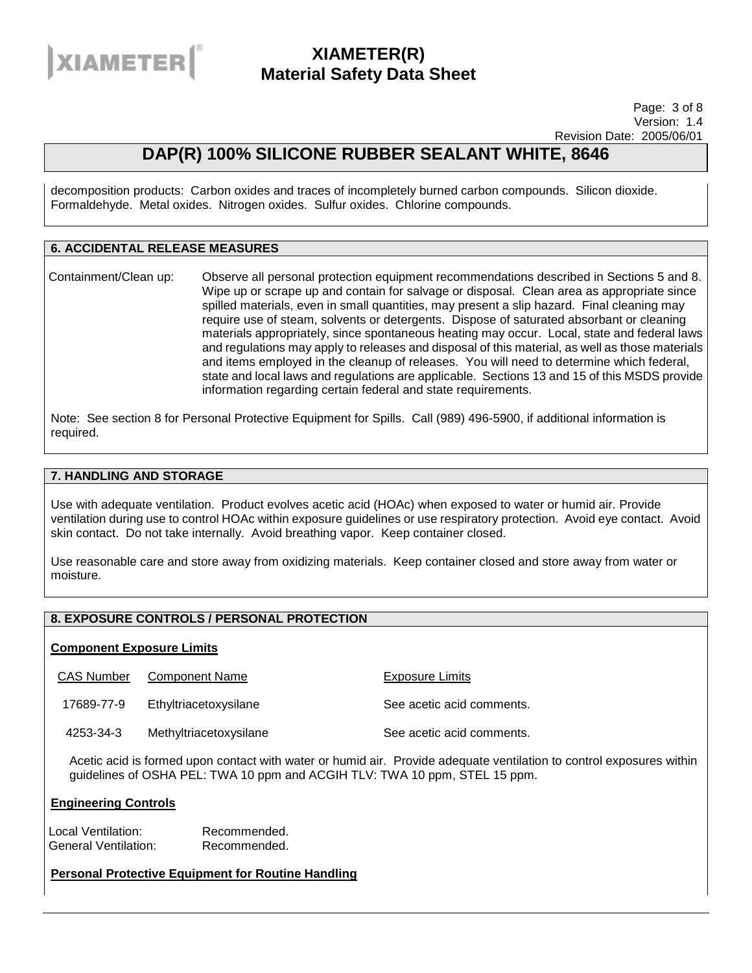

Page: 3 of 8 Version: 1.4 Revision Date: 2005/06/01

# **DAP(R) 100% SILICONE RUBBER SEALANT WHITE, 8646**

decomposition products: Carbon oxides and traces of incompletely burned carbon compounds. Silicon dioxide. Formaldehyde. Metal oxides. Nitrogen oxides. Sulfur oxides. Chlorine compounds.

### **6. ACCIDENTAL RELEASE MEASURES**

Containment/Clean up: Observe all personal protection equipment recommendations described in Sections 5 and 8. Wipe up or scrape up and contain for salvage or disposal. Clean area as appropriate since spilled materials, even in small quantities, may present a slip hazard. Final cleaning may require use of steam, solvents or detergents. Dispose of saturated absorbant or cleaning materials appropriately, since spontaneous heating may occur. Local, state and federal laws and regulations may apply to releases and disposal of this material, as well as those materials and items employed in the cleanup of releases. You will need to determine which federal, state and local laws and regulations are applicable. Sections 13 and 15 of this MSDS provide information regarding certain federal and state requirements.

Note: See section 8 for Personal Protective Equipment for Spills. Call (989) 496-5900, if additional information is required.

### **7. HANDLING AND STORAGE**

Use with adequate ventilation. Product evolves acetic acid (HOAc) when exposed to water or humid air. Provide ventilation during use to control HOAc within exposure guidelines or use respiratory protection. Avoid eye contact. Avoid skin contact. Do not take internally. Avoid breathing vapor. Keep container closed.

Use reasonable care and store away from oxidizing materials. Keep container closed and store away from water or moisture.

## **8. EXPOSURE CONTROLS / PERSONAL PROTECTION**

### **Component Exposure Limits**

CAS Number Component Name The Component Name Exposure Limits

17689-77-9 Ethyltriacetoxysilane See acetic acid comments.

4253-34-3 Methyltriacetoxysilane See acetic acid comments.

Acetic acid is formed upon contact with water or humid air. Provide adequate ventilation to control exposures within guidelines of OSHA PEL: TWA 10 ppm and ACGIH TLV: TWA 10 ppm, STEL 15 ppm.

### **Engineering Controls**

Local Ventilation: Recommended. General Ventilation: Recommended.

### **Personal Protective Equipment for Routine Handling**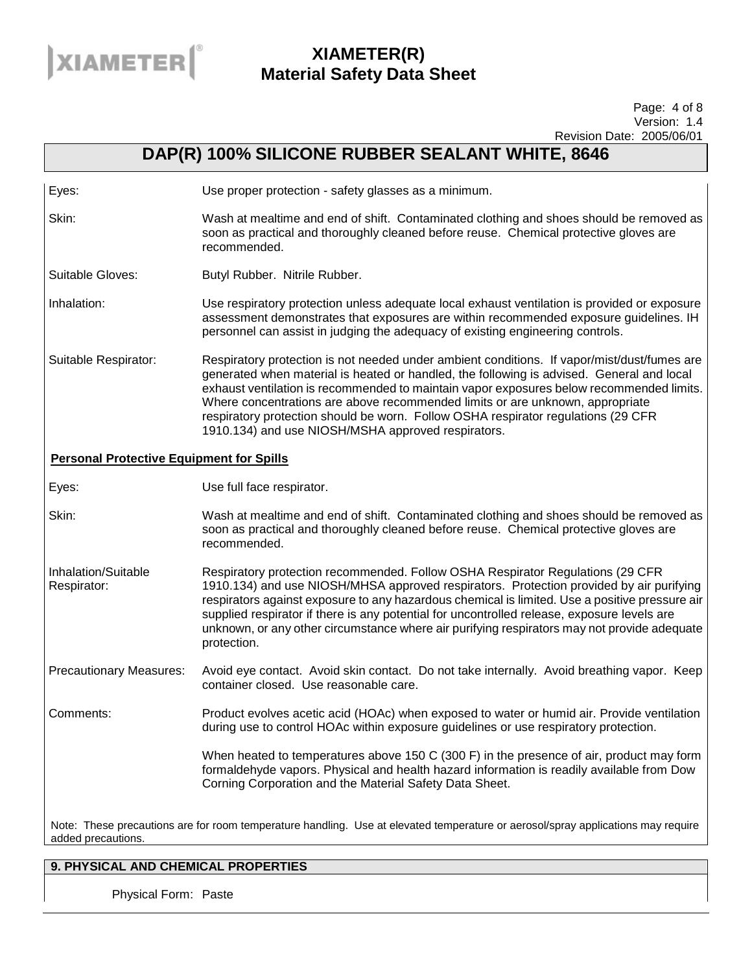

#### Page: 4 of 8 Version: 1.4 Revision Date: 2005/06/01

# **DAP(R) 100% SILICONE RUBBER SEALANT WHITE, 8646**

| Eyes:                                           | Use proper protection - safety glasses as a minimum.                                                                                                                                                                                                                                                                                                                                                                                                                                                             |
|-------------------------------------------------|------------------------------------------------------------------------------------------------------------------------------------------------------------------------------------------------------------------------------------------------------------------------------------------------------------------------------------------------------------------------------------------------------------------------------------------------------------------------------------------------------------------|
| Skin:                                           | Wash at mealtime and end of shift. Contaminated clothing and shoes should be removed as<br>soon as practical and thoroughly cleaned before reuse. Chemical protective gloves are<br>recommended.                                                                                                                                                                                                                                                                                                                 |
| Suitable Gloves:                                | Butyl Rubber. Nitrile Rubber.                                                                                                                                                                                                                                                                                                                                                                                                                                                                                    |
| Inhalation:                                     | Use respiratory protection unless adequate local exhaust ventilation is provided or exposure<br>assessment demonstrates that exposures are within recommended exposure guidelines. IH<br>personnel can assist in judging the adequacy of existing engineering controls.                                                                                                                                                                                                                                          |
| Suitable Respirator:                            | Respiratory protection is not needed under ambient conditions. If vapor/mist/dust/fumes are<br>generated when material is heated or handled, the following is advised. General and local<br>exhaust ventilation is recommended to maintain vapor exposures below recommended limits.<br>Where concentrations are above recommended limits or are unknown, appropriate<br>respiratory protection should be worn. Follow OSHA respirator regulations (29 CFR<br>1910.134) and use NIOSH/MSHA approved respirators. |
| <b>Personal Protective Equipment for Spills</b> |                                                                                                                                                                                                                                                                                                                                                                                                                                                                                                                  |
| Eyes:                                           | Use full face respirator.                                                                                                                                                                                                                                                                                                                                                                                                                                                                                        |
| Skin:                                           | Wash at mealtime and end of shift. Contaminated clothing and shoes should be removed as<br>soon as practical and thoroughly cleaned before reuse. Chemical protective gloves are<br>recommended.                                                                                                                                                                                                                                                                                                                 |
| Inhalation/Suitable<br>Respirator:              | Respiratory protection recommended. Follow OSHA Respirator Regulations (29 CFR<br>1910.134) and use NIOSH/MHSA approved respirators. Protection provided by air purifying<br>respirators against exposure to any hazardous chemical is limited. Use a positive pressure air<br>supplied respirator if there is any potential for uncontrolled release, exposure levels are<br>unknown, or any other circumstance where air purifying respirators may not provide adequate<br>protection.                         |
| <b>Precautionary Measures:</b>                  | Avoid eye contact. Avoid skin contact. Do not take internally. Avoid breathing vapor. Keep<br>container closed. Use reasonable care.                                                                                                                                                                                                                                                                                                                                                                             |
| Comments:                                       | Product evolves acetic acid (HOAc) when exposed to water or humid air. Provide ventilation<br>during use to control HOAc within exposure guidelines or use respiratory protection.                                                                                                                                                                                                                                                                                                                               |
|                                                 | When heated to temperatures above 150 C (300 F) in the presence of air, product may form<br>formaldehyde vapors. Physical and health hazard information is readily available from Dow<br>Corning Corporation and the Material Safety Data Sheet.                                                                                                                                                                                                                                                                 |

Note: These precautions are for room temperature handling. Use at elevated temperature or aerosol/spray applications may require added precautions.

## **9. PHYSICAL AND CHEMICAL PROPERTIES**

Physical Form: Paste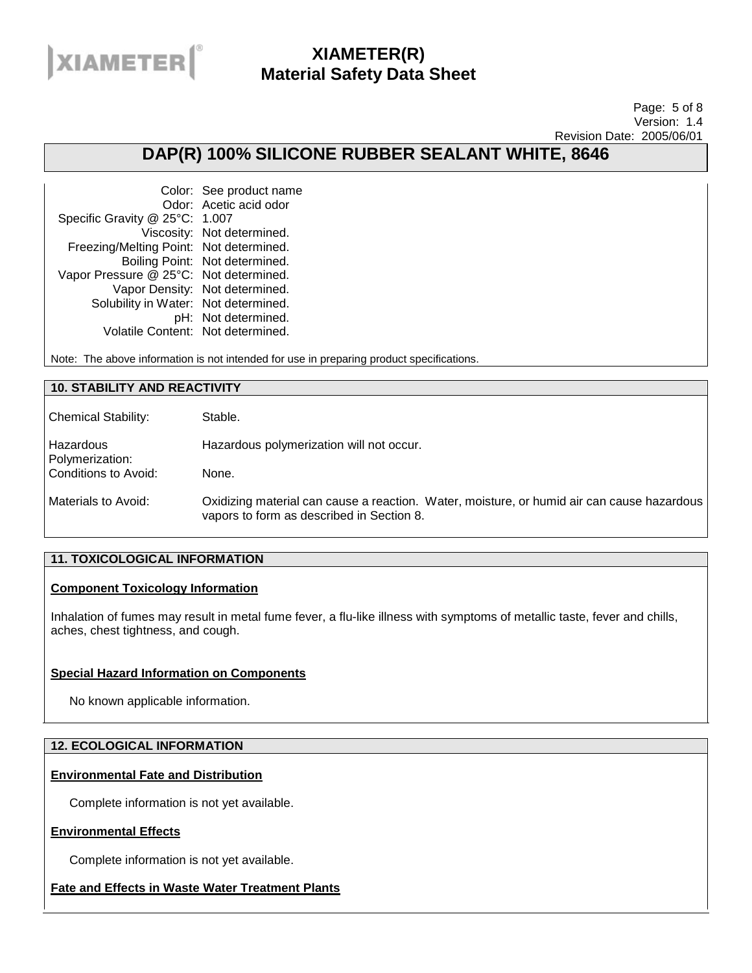

#### Page: 5 of 8 Version: 1.4 Revision Date: 2005/06/01

## **DAP(R) 100% SILICONE RUBBER SEALANT WHITE, 8646**

|                                         | Color: See product name        |
|-----------------------------------------|--------------------------------|
|                                         | Odor: Acetic acid odor         |
| Specific Gravity @ 25°C: 1.007          |                                |
|                                         | Viscosity: Not determined.     |
| Freezing/Melting Point: Not determined. |                                |
|                                         | Boiling Point: Not determined. |
| Vapor Pressure @ 25°C: Not determined.  |                                |
|                                         | Vapor Density: Not determined. |
| Solubility in Water: Not determined.    |                                |
|                                         | pH: Not determined.            |
| Volatile Content: Not determined.       |                                |

Note: The above information is not intended for use in preparing product specifications.

### **10. STABILITY AND REACTIVITY**

| <b>Chemical Stability:</b>   | Stable.                                                                                                                                 |
|------------------------------|-----------------------------------------------------------------------------------------------------------------------------------------|
| Hazardous<br>Polymerization: | Hazardous polymerization will not occur.                                                                                                |
| Conditions to Avoid:         | None.                                                                                                                                   |
| Materials to Avoid:          | Oxidizing material can cause a reaction. Water, moisture, or humid air can cause hazardous<br>vapors to form as described in Section 8. |

### **11. TOXICOLOGICAL INFORMATION**

### **Component Toxicology Information**

Inhalation of fumes may result in metal fume fever, a flu-like illness with symptoms of metallic taste, fever and chills, aches, chest tightness, and cough.

## **Special Hazard Information on Components**

No known applicable information.

### **12. ECOLOGICAL INFORMATION**

### **Environmental Fate and Distribution**

Complete information is not yet available.

### **Environmental Effects**

Complete information is not yet available.

## **Fate and Effects in Waste Water Treatment Plants**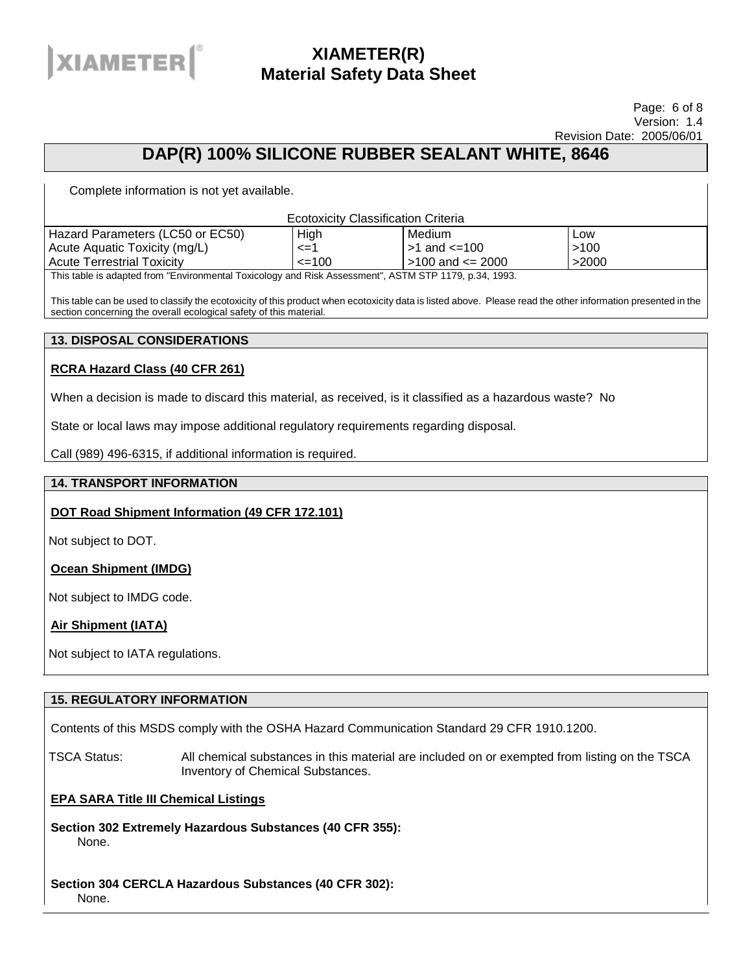

#### Page: 6 of 8 Version: 1.4 Revision Date: 2005/06/01

## **DAP(R) 100% SILICONE RUBBER SEALANT WHITE, 8646**

Complete information is not yet available.

| <b>Ecotoxicity Classification Criteria</b>                                                        |            |                        |       |
|---------------------------------------------------------------------------------------------------|------------|------------------------|-------|
| Hazard Parameters (LC50 or EC50)                                                                  | High       | Medium                 | Low   |
| Acute Aquatic Toxicity (mg/L)                                                                     | $\leq$ = 1 | l >1 and <=100_        | >100  |
| <b>Acute Terrestrial Toxicity</b>                                                                 | $\leq$ 100 | $>100$ and $\leq$ 2000 | >2000 |
| This table is adapted from "Environmental Tovicology and Risk Assessment" ASTM STP 1179 n 34 1993 |            |                        |       |

"Environmental Toxicology and Risk Assessment", ASTM STP 1179, p.34, 1993.

This table can be used to classify the ecotoxicity of this product when ecotoxicity data is listed above. Please read the other information presented in the section concerning the overall ecological safety of this material.

### **13. DISPOSAL CONSIDERATIONS**

## **RCRA Hazard Class (40 CFR 261)**

When a decision is made to discard this material, as received, is it classified as a hazardous waste? No

State or local laws may impose additional regulatory requirements regarding disposal.

Call (989) 496-6315, if additional information is required.

### **14. TRANSPORT INFORMATION**

## **DOT Road Shipment Information (49 CFR 172.101)**

Not subject to DOT.

**Ocean Shipment (IMDG)**

Not subject to IMDG code.

## **Air Shipment (IATA)**

Not subject to IATA regulations.

### **15. REGULATORY INFORMATION**

Contents of this MSDS comply with the OSHA Hazard Communication Standard 29 CFR 1910.1200.

TSCA Status: All chemical substances in this material are included on or exempted from listing on the TSCA Inventory of Chemical Substances.

### **EPA SARA Title III Chemical Listings**

**Section 302 Extremely Hazardous Substances (40 CFR 355):**  None.

#### **Section 304 CERCLA Hazardous Substances (40 CFR 302):**  None.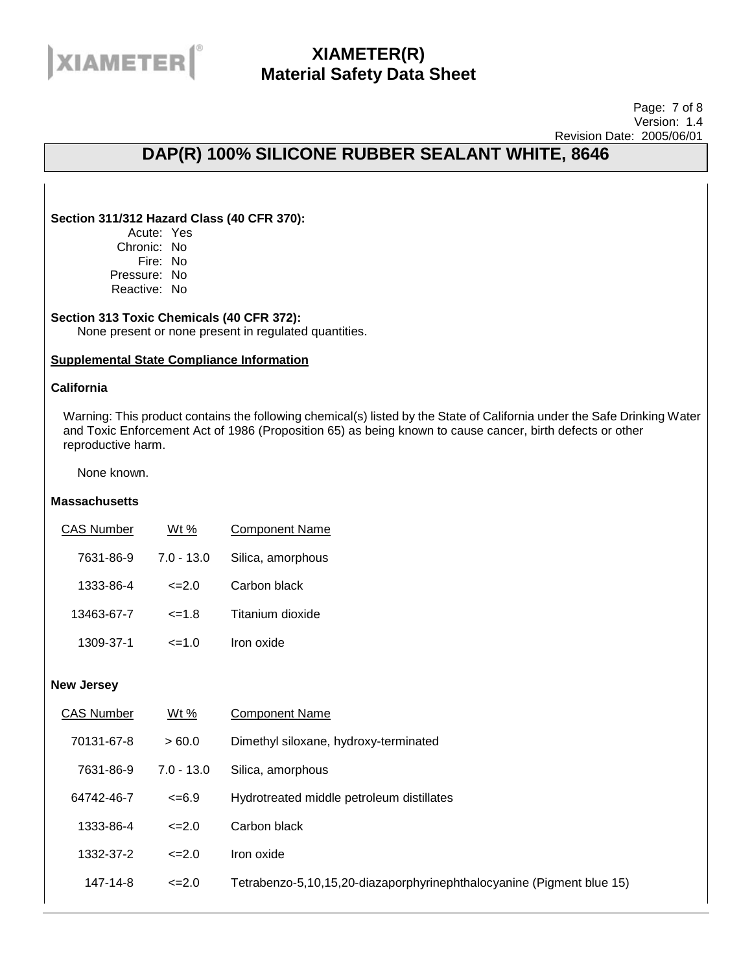

#### Page: 7 of 8 Version: 1.4 Revision Date: 2005/06/01

# **DAP(R) 100% SILICONE RUBBER SEALANT WHITE, 8646**

### **Section 311/312 Hazard Class (40 CFR 370):**

Acute: Yes Chronic: No Fire: No Pressure: No Reactive: No

### **Section 313 Toxic Chemicals (40 CFR 372):**

None present or none present in regulated quantities.

### **Supplemental State Compliance Information**

### **California**

Warning: This product contains the following chemical(s) listed by the State of California under the Safe Drinking Water and Toxic Enforcement Act of 1986 (Proposition 65) as being known to cause cancer, birth defects or other reproductive harm.

None known.

#### **Massachusetts**

| <b>CAS Number</b> | Wt %         | <b>Component Name</b> |
|-------------------|--------------|-----------------------|
| 7631-86-9         | $7.0 - 13.0$ | Silica, amorphous     |
| 1333-86-4         | $\leq$ -2.0  | Carbon black          |
| 13463-67-7        | $\leq$ = 1.8 | Titanium dioxide      |
| 1309-37-1         | $=1.0$       | Iron oxide            |

#### **New Jersey**

| <b>CAS Number</b> | Wt %         | <b>Component Name</b>                                                 |
|-------------------|--------------|-----------------------------------------------------------------------|
| 70131-67-8        | >60.0        | Dimethyl siloxane, hydroxy-terminated                                 |
| 7631-86-9         | $7.0 - 13.0$ | Silica, amorphous                                                     |
| 64742-46-7        | $<=6.9$      | Hydrotreated middle petroleum distillates                             |
| 1333-86-4         | $\leq$ -2.0  | Carbon black                                                          |
| 1332-37-2         | $\leq$ -2.0  | Iron oxide                                                            |
| 147-14-8          | $\leq$ -2.0  | Tetrabenzo-5,10,15,20-diazaporphyrinephthalocyanine (Pigment blue 15) |
|                   |              |                                                                       |